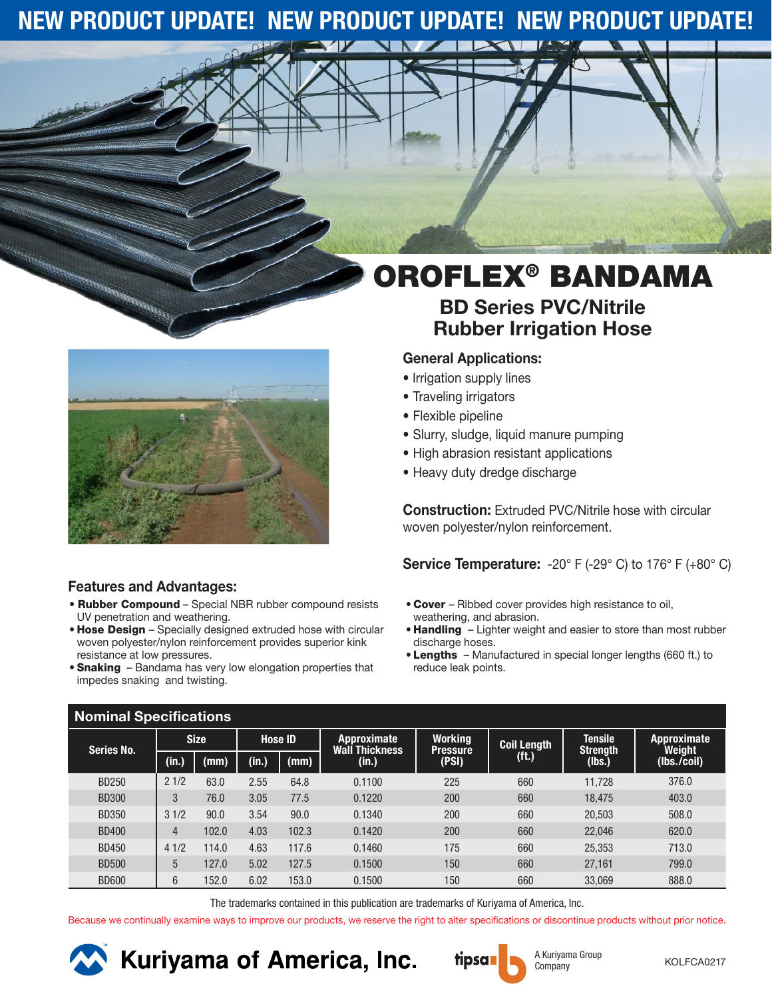### **NEW PRODUCT UPDATE! NEW PRODUCT UPDATE! NEW PRODUCT UPDATE!**



### **Features and Advantages:**

- Rubber Compound Special NBR rubber compound resists UV penetration and weathering.
- Hose Design Specially designed extruded hose with circular woven polyester/nylon reinforcement provides superior kink resistance at low pressures.
- Snaking Bandama has very low elongation properties that impedes snaking and twisting.

# OROFLEX® BANDAMA

### **BD Series PVC/Nitrile Rubber Irrigation Hose**

### **General Applications:**

- Irrigation supply lines
- Traveling irrigators
- Flexible pipeline
- Slurry, sludge, liquid manure pumping
- High abrasion resistant applications
- Heavy duty dredge discharge

**Construction:** Extruded PVC/Nitrile hose with circular woven polyester/nylon reinforcement.

**Service Temperature:** -20° F (-29° C) to 176° F (+80° C)

- Cover Ribbed cover provides high resistance to oil, weathering, and abrasion.
- Handling Lighter weight and easier to store than most rubber discharge hoses.
- Lengths Manufactured in special longer lengths (660 ft.) to reduce leak points.

| <b>Nominal Specifications</b> |             |       |                |       |                               |                            |                    |                                   |                              |  |  |
|-------------------------------|-------------|-------|----------------|-------|-------------------------------|----------------------------|--------------------|-----------------------------------|------------------------------|--|--|
| <b>Series No.</b>             | <b>Size</b> |       | <b>Hose ID</b> |       | Approximate<br>Wall Thickness | Working<br><b>Pressure</b> | <b>Coil Length</b> | <b>Tensile</b><br><b>Strength</b> | <b>Approximate</b><br>Weight |  |  |
|                               | (in.)       | (mm)  | (in.)          | (mm)  | (in.)                         | (PSI)                      | (ft.)              | (lbs.)                            | (Ibs./coil)                  |  |  |
| <b>BD250</b>                  | 21/2        | 63.0  | 2.55           | 64.8  | 0.1100                        | 225                        | 660                | 11.728                            | 376.0                        |  |  |
| <b>BD300</b>                  | 3           | 76.0  | 3.05           | 77.5  | 0.1220                        | 200                        | 660                | 18,475                            | 403.0                        |  |  |
| <b>BD350</b>                  | 31/2        | 90.0  | 3.54           | 90.0  | 0.1340                        | 200                        | 660                | 20,503                            | 508.0                        |  |  |
| <b>BD400</b>                  | 4           | 102.0 | 4.03           | 102.3 | 0.1420                        | 200                        | 660                | 22,046                            | 620.0                        |  |  |
| <b>BD450</b>                  | 41/2        | 114.0 | 4.63           | 117.6 | 0.1460                        | 175                        | 660                | 25,353                            | 713.0                        |  |  |
| <b>BD500</b>                  | 5           | 127.0 | 5.02           | 127.5 | 0.1500                        | 150                        | 660                | 27,161                            | 799.0                        |  |  |
| <b>BD600</b>                  | 6           | 152.0 | 6.02           | 153.0 | 0.1500                        | 150                        | 660                | 33.069                            | 888.0                        |  |  |

The trademarks contained in this publication are trademarks of Kuriyama of America, Inc.

Because we continually examine ways to improve our products, we reserve the right to alter specifications or discontinue products without prior notice.



**XX** Kuriyama of America, Inc.

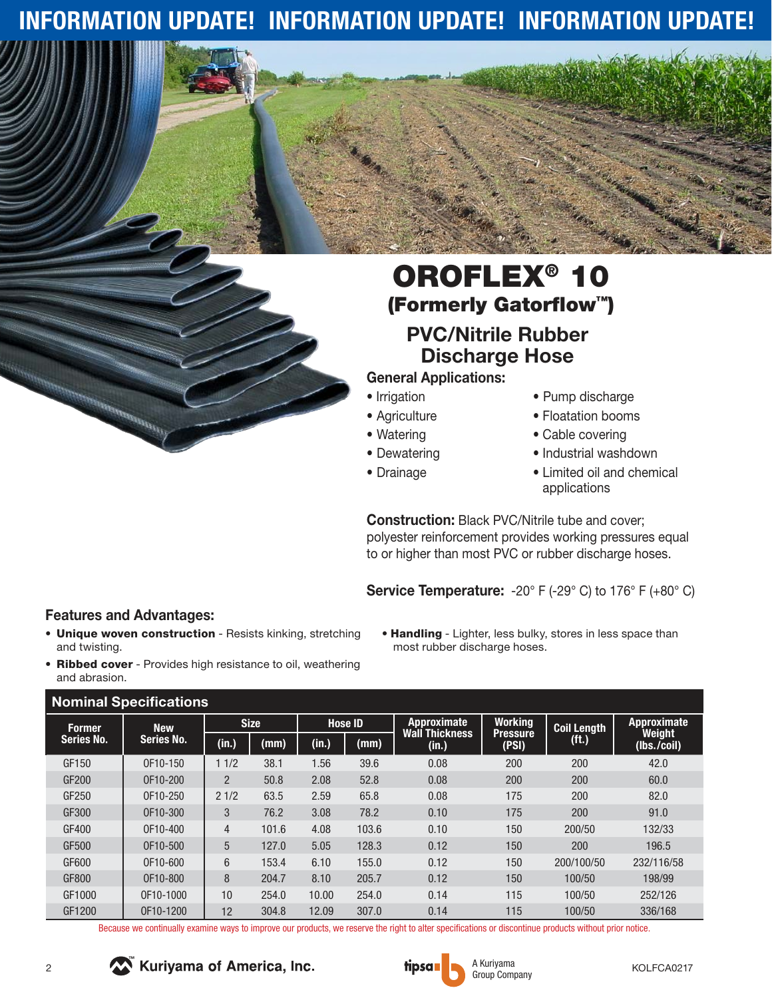## **INFORMATION UPDATE! INFORMATION UPDATE! INFORMATION UPDATE!**

## OROFLEX® 10 (Formerly Gatorflow™) **PVC/Nitrile Rubber Discharge Hose**

### **General Applications:**

- Irrigation
- Agriculture
- Watering
- Dewatering
- Drainage
- Pump discharge
- Floatation booms
- Cable covering
- Industrial washdown
- Limited oil and chemical applications

**Construction:** Black PVC/Nitrile tube and cover; polyester reinforcement provides working pressures equal to or higher than most PVC or rubber discharge hoses.

**Service Temperature:** -20° F (-29° C) to 176° F (+80° C)

• Handling - Lighter, less bulky, stores in less space than

most rubber discharge hoses.

- **Features and Advantages:**
- Unique woven construction Resists kinking, stretching and twisting.
- Ribbed cover Provides high resistance to oil, weathering and abrasion.

#### **Nominal Specifications**

| <b>Nominal Specifications</b>      |                                 |                |       |                |       |                                             |                                   |                    |                       |  |
|------------------------------------|---------------------------------|----------------|-------|----------------|-------|---------------------------------------------|-----------------------------------|--------------------|-----------------------|--|
| <b>Former</b><br><b>Series No.</b> | <b>New</b><br><b>Series No.</b> | <b>Size</b>    |       | <b>Hose ID</b> |       | <b>Approximate</b><br><b>Wall Thickness</b> | <b>Working</b><br><b>Pressure</b> | <b>Coil Length</b> | Approximate<br>Weight |  |
|                                    |                                 | (in.)          | (mm)  | (in.)          | (mm)  | (in.)                                       | (PSI)                             | (ft.)              | (Ibs./coil)           |  |
| GF150                              | OF10-150                        | 11/2           | 38.1  | 1.56           | 39.6  | 0.08                                        | 200                               | 200                | 42.0                  |  |
| GF200                              | OF10-200                        | $\overline{2}$ | 50.8  | 2.08           | 52.8  | 0.08                                        | 200                               | 200                | 60.0                  |  |
| GF250                              | OF10-250                        | 21/2           | 63.5  | 2.59           | 65.8  | 0.08                                        | 175                               | 200                | 82.0                  |  |
| GF300                              | OF10-300                        | 3              | 76.2  | 3.08           | 78.2  | 0.10                                        | 175                               | 200                | 91.0                  |  |
| GF400                              | OF10-400                        | 4              | 101.6 | 4.08           | 103.6 | 0.10                                        | 150                               | 200/50             | 132/33                |  |
| GF500                              | OF10-500                        | 5              | 127.0 | 5.05           | 128.3 | 0.12                                        | 150                               | 200                | 196.5                 |  |
| GF600                              | OF10-600                        | 6              | 153.4 | 6.10           | 155.0 | 0.12                                        | 150                               | 200/100/50         | 232/116/58            |  |
| GF800                              | OF10-800                        | 8              | 204.7 | 8.10           | 205.7 | 0.12                                        | 150                               | 100/50             | 198/99                |  |
| GF1000                             | OF10-1000                       | 10             | 254.0 | 10.00          | 254.0 | 0.14                                        | 115                               | 100/50             | 252/126               |  |
| GF1200                             | OF10-1200                       | 12             | 304.8 | 12.09          | 307.0 | 0.14                                        | 115                               | 100/50             | 336/168               |  |

Because we continually examine ways to improve our products, we reserve the right to alter specifications or discontinue products without prior notice.





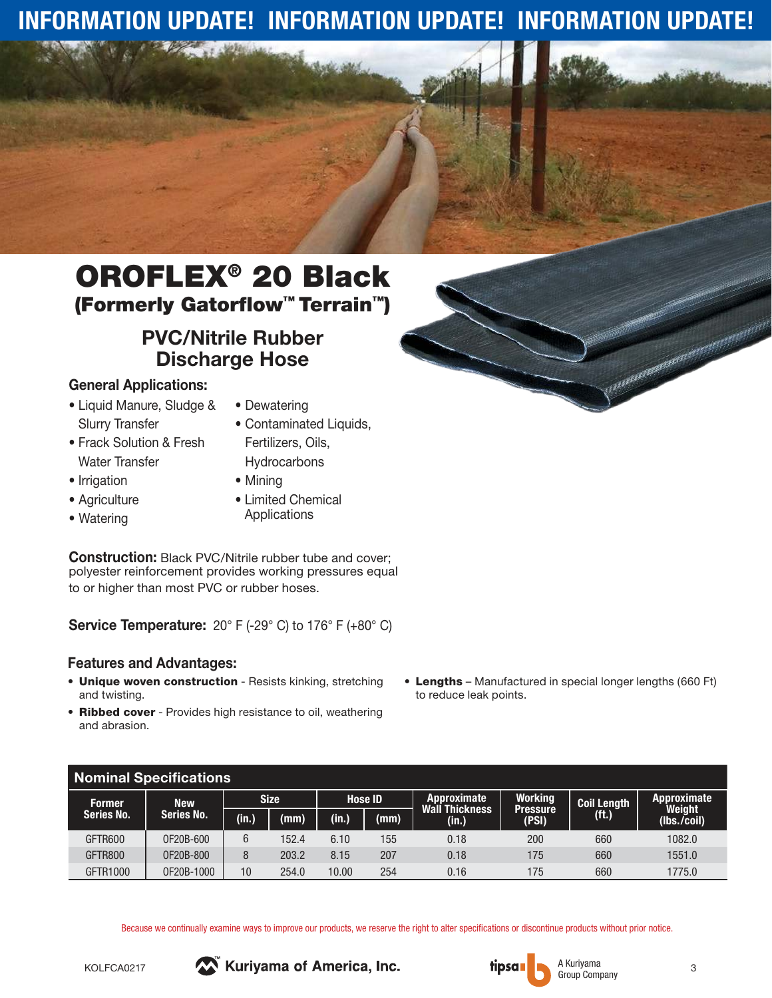## **INFORMATION UPDATE! INFORMATION UPDATE! INFORMATION UPDATE!**

## OROFLEX® 20 Black (Formerly Gatorflow™ Terrain™)

### **PVC/Nitrile Rubber Discharge Hose**

### **General Applications:**

- Liquid Manure, Sludge & Slurry Transfer
- Dewatering
- Contaminated Liquids,
- Frack Solution & Fresh Water Transfer
- Irrigation
- Agriculture
- Watering
- **Hydrocarbons**
- Mining
- Limited Chemical Applications

Fertilizers, Oils,

**Construction:** Black PVC/Nitrile rubber tube and cover; polyester reinforcement provides working pressures equal to or higher than most PVC or rubber hoses.

**Service Temperature:** 20° F (-29° C) to 176° F (+80° C)

### **Features and Advantages:**

- Unique woven construction Resists kinking, stretching and twisting.
- Ribbed cover Provides high resistance to oil, weathering and abrasion.
- Lengths Manufactured in special longer lengths (660 Ft) to reduce leak points.

| <b>Nominal Specifications</b> |                   |             |       |                |      |                               |                            |                    |                       |  |
|-------------------------------|-------------------|-------------|-------|----------------|------|-------------------------------|----------------------------|--------------------|-----------------------|--|
| <b>Former</b>                 | <b>New</b>        | <b>Size</b> |       | <b>Hose ID</b> |      | Approximate<br>Wall Thickness | <b>Working</b><br>Pressure | <b>Coil Length</b> | Approximate<br>Weight |  |
| <b>Series No.</b>             | <b>Series No.</b> | (in.)       | (mm)  | (m,            | (mm) | (in.)                         | (PSI)                      | (ft.)              | (lbs./coil)           |  |
| GFTR600                       | 0F20B-600         | 6           | 152.4 | 6.10           | 155  | 0.18                          | 200                        | 660                | 1082.0                |  |
| GFTR800                       | OF20B-800         | 8           | 203.2 | 8.15           | 207  | 0.18                          | 175                        | 660                | 1551.0                |  |
| GFTR1000                      | 0F20B-1000        | 10          | 254.0 | 10.00          | 254  | 0.16                          | 175                        | 660                | 1775.0                |  |

Because we continually examine ways to improve our products, we reserve the right to alter specifications or discontinue products without prior notice.